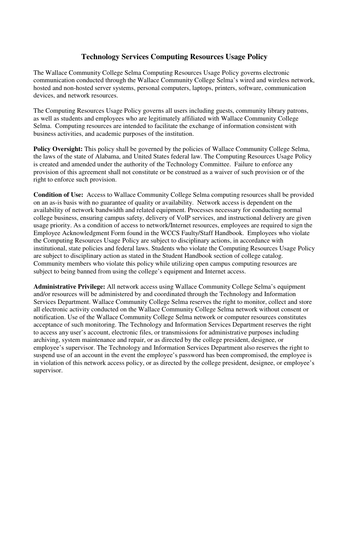# **Technology Services Computing Resources Usage Policy**

The Wallace Community College Selma Computing Resources Usage Policy governs electronic communication conducted through the Wallace Community College Selma's wired and wireless network, hosted and non-hosted server systems, personal computers, laptops, printers, software, communication devices, and network resources.

The Computing Resources Usage Policy governs all users including guests, community library patrons, as well as students and employees who are legitimately affiliated with Wallace Community College Selma. Computing resources are intended to facilitate the exchange of information consistent with business activities, and academic purposes of the institution.

Policy Oversight: This policy shall be governed by the policies of Wallace Community College Selma, the laws of the state of Alabama, and United States federal law. The Computing Resources Usage Policy is created and amended under the authority of the Technology Committee. Failure to enforce any provision of this agreement shall not constitute or be construed as a waiver of such provision or of the right to enforce such provision.

**Condition of Use:** Access to Wallace Community College Selma computing resources shall be provided on an as-is basis with no guarantee of quality or availability. Network access is dependent on the availability of network bandwidth and related equipment. Processes necessary for conducting normal college business, ensuring campus safety, delivery of VoIP services, and instructional delivery are given usage priority. As a condition of access to network/Internet resources, employees are required to sign the Employee Acknowledgment Form found in the WCCS Faulty/Staff Handbook. Employees who violate the Computing Resources Usage Policy are subject to disciplinary actions, in accordance with institutional, state policies and federal laws. Students who violate the Computing Resources Usage Policy are subject to disciplinary action as stated in the Student Handbook section of college catalog. Community members who violate this policy while utilizing open campus computing resources are subject to being banned from using the college's equipment and Internet access.

**Administrative Privilege:** All network access using Wallace Community College Selma's equipment and/or resources will be administered by and coordinated through the Technology and Information Services Department. Wallace Community College Selma reserves the right to monitor, collect and store all electronic activity conducted on the Wallace Community College Selma network without consent or notification. Use of the Wallace Community College Selma network or computer resources constitutes acceptance of such monitoring. The Technology and Information Services Department reserves the right to access any user's account, electronic files, or transmissions for administrative purposes including archiving, system maintenance and repair, or as directed by the college president, designee, or employee's supervisor. The Technology and Information Services Department also reserves the right to suspend use of an account in the event the employee's password has been compromised, the employee is in violation of this network access policy, or as directed by the college president, designee, or employee's supervisor.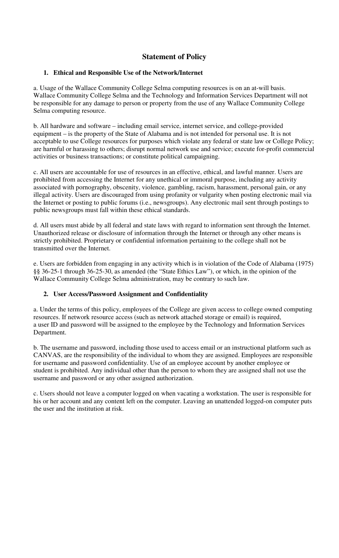# **Statement of Policy**

### **1. Ethical and Responsible Use of the Network/Internet**

a. Usage of the Wallace Community College Selma computing resources is on an at-will basis. Wallace Community College Selma and the Technology and Information Services Department will not be responsible for any damage to person or property from the use of any Wallace Community College Selma computing resource.

b. All hardware and software – including email service, internet service, and college-provided equipment – is the property of the State of Alabama and is not intended for personal use. It is not acceptable to use College resources for purposes which violate any federal or state law or College Policy; are harmful or harassing to others; disrupt normal network use and service; execute for-profit commercial activities or business transactions; or constitute political campaigning.

c. All users are accountable for use of resources in an effective, ethical, and lawful manner. Users are prohibited from accessing the Internet for any unethical or immoral purpose, including any activity associated with pornography, obscenity, violence, gambling, racism, harassment, personal gain, or any illegal activity. Users are discouraged from using profanity or vulgarity when posting electronic mail via the Internet or posting to public forums (i.e., newsgroups). Any electronic mail sent through postings to public newsgroups must fall within these ethical standards.

d. All users must abide by all federal and state laws with regard to information sent through the Internet. Unauthorized release or disclosure of information through the Internet or through any other means is strictly prohibited. Proprietary or confidential information pertaining to the college shall not be transmitted over the Internet.

e. Users are forbidden from engaging in any activity which is in violation of the Code of Alabama (1975) §§ 36-25-1 through 36-25-30, as amended (the "State Ethics Law"), or which, in the opinion of the Wallace Community College Selma administration, may be contrary to such law.

### **2. User Access/Password Assignment and Confidentiality**

a. Under the terms of this policy, employees of the College are given access to college owned computing resources. If network resource access (such as network attached storage or email) is required, a user ID and password will be assigned to the employee by the Technology and Information Services Department.

b. The username and password, including those used to access email or an instructional platform such as CANVAS, are the responsibility of the individual to whom they are assigned. Employees are responsible for username and password confidentiality. Use of an employee account by another employee or student is prohibited. Any individual other than the person to whom they are assigned shall not use the username and password or any other assigned authorization.

c. Users should not leave a computer logged on when vacating a workstation. The user is responsible for his or her account and any content left on the computer. Leaving an unattended logged-on computer puts the user and the institution at risk.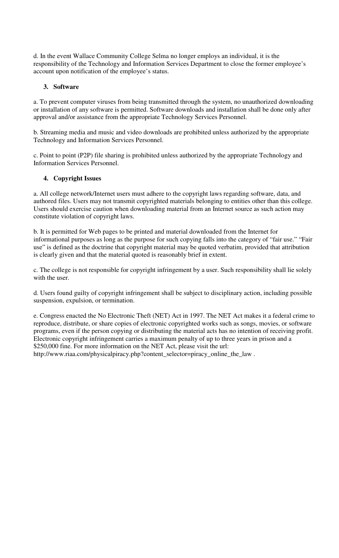d. In the event Wallace Community College Selma no longer employs an individual, it is the responsibility of the Technology and Information Services Department to close the former employee's account upon notification of the employee's status.

### **3. Software**

a. To prevent computer viruses from being transmitted through the system, no unauthorized downloading or installation of any software is permitted. Software downloads and installation shall be done only after approval and/or assistance from the appropriate Technology Services Personnel.

b. Streaming media and music and video downloads are prohibited unless authorized by the appropriate Technology and Information Services Personnel.

c. Point to point (P2P) file sharing is prohibited unless authorized by the appropriate Technology and Information Services Personnel.

### **4. Copyright Issues**

a. All college network/Internet users must adhere to the copyright laws regarding software, data, and authored files. Users may not transmit copyrighted materials belonging to entities other than this college. Users should exercise caution when downloading material from an Internet source as such action may constitute violation of copyright laws.

b. It is permitted for Web pages to be printed and material downloaded from the Internet for informational purposes as long as the purpose for such copying falls into the category of "fair use." "Fair use" is defined as the doctrine that copyright material may be quoted verbatim, provided that attribution is clearly given and that the material quoted is reasonably brief in extent.

c. The college is not responsible for copyright infringement by a user. Such responsibility shall lie solely with the user.

d. Users found guilty of copyright infringement shall be subject to disciplinary action, including possible suspension, expulsion, or termination.

e. Congress enacted the No Electronic Theft (NET) Act in 1997. The NET Act makes it a federal crime to reproduce, distribute, or share copies of electronic copyrighted works such as songs, movies, or software programs, even if the person copying or distributing the material acts has no intention of receiving profit. Electronic copyright infringement carries a maximum penalty of up to three years in prison and a \$250,000 fine. For more information on the NET Act, please visit the url: http://www.riaa.com/physicalpiracy.php?content\_selector=piracy\_online\_the\_law .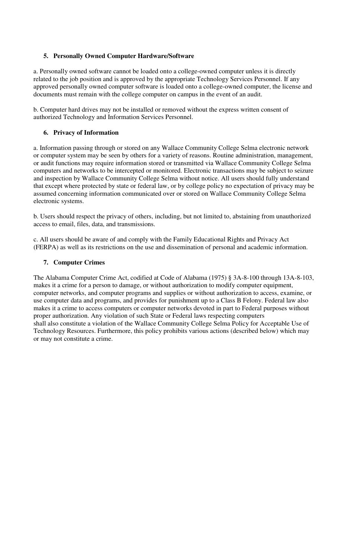## **5. Personally Owned Computer Hardware/Software**

a. Personally owned software cannot be loaded onto a college-owned computer unless it is directly related to the job position and is approved by the appropriate Technology Services Personnel. If any approved personally owned computer software is loaded onto a college-owned computer, the license and documents must remain with the college computer on campus in the event of an audit.

b. Computer hard drives may not be installed or removed without the express written consent of authorized Technology and Information Services Personnel.

## **6. Privacy of Information**

a. Information passing through or stored on any Wallace Community College Selma electronic network or computer system may be seen by others for a variety of reasons. Routine administration, management, or audit functions may require information stored or transmitted via Wallace Community College Selma computers and networks to be intercepted or monitored. Electronic transactions may be subject to seizure and inspection by Wallace Community College Selma without notice. All users should fully understand that except where protected by state or federal law, or by college policy no expectation of privacy may be assumed concerning information communicated over or stored on Wallace Community College Selma electronic systems.

b. Users should respect the privacy of others, including, but not limited to, abstaining from unauthorized access to email, files, data, and transmissions.

c. All users should be aware of and comply with the Family Educational Rights and Privacy Act (FERPA) as well as its restrictions on the use and dissemination of personal and academic information.

### **7. Computer Crimes**

The Alabama Computer Crime Act, codified at Code of Alabama (1975) § 3A-8-100 through 13A-8-103, makes it a crime for a person to damage, or without authorization to modify computer equipment, computer networks, and computer programs and supplies or without authorization to access, examine, or use computer data and programs, and provides for punishment up to a Class B Felony. Federal law also makes it a crime to access computers or computer networks devoted in part to Federal purposes without proper authorization. Any violation of such State or Federal laws respecting computers shall also constitute a violation of the Wallace Community College Selma Policy for Acceptable Use of Technology Resources. Furthermore, this policy prohibits various actions (described below) which may or may not constitute a crime.